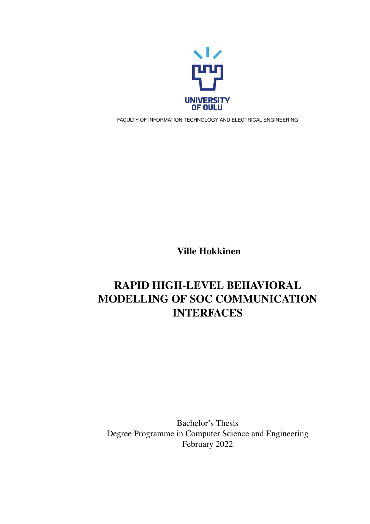

FACULTY OF INFORMATION TECHNOLOGY AND ELECTRICAL ENGINEERING

Ville Hokkinen

# RAPID HIGH-LEVEL BEHAVIORAL MODELLING OF SOC COMMUNICATION INTERFACES

Bachelor's Thesis Degree Programme in Computer Science and Engineering February 2022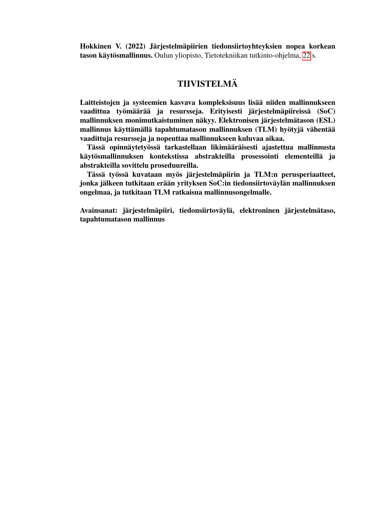<span id="page-1-0"></span>Hokkinen V. (2022) Järjestelmäpiirien tiedonsiirtoyhteyksien nopea korkean tason käytösmallinnus. Oulun yliopisto, Tietotekniikan tutkinto-ohjelma, [22](#page-21-0) s.

# TIIVISTELMÄ

Laitteistojen ja systeemien kasvava kompleksisuus lisää niiden mallinnukseen vaadittua työmäärää ja resursseja. Erityisesti järjestelmäpiireissä (SoC) mallinnuksen monimutkaistuminen näkyy. Elektronisen järjestelmätason (ESL) mallinnus käyttämällä tapahtumatason mallinnuksen (TLM) hyötyjä vähentää vaadittuja resursseja ja nopeuttaa mallinnukseen kuluvaa aikaa.

Tässä opinnäytetyössä tarkastellaan likimääräisesti ajastettua mallinnusta käytösmallinnuksen kontekstissa abstrakteilla prosessointi elementeillä ja abstrakteilla sovittelu proseduureilla.

Tässä työssä kuvataan myös järjestelmäpiirin ja TLM:n perusperiaatteet, jonka jälkeen tutkitaan erään yrityksen SoC:in tiedonsiirtoväylän mallinnuksen ongelmaa, ja tutkitaan TLM ratkaisua mallinnusongelmalle.

Avainsanat: järjestelmäpiiri, tiedonsiirtoväylä, elektroninen järjestelmätaso, tapahtumatason mallinnus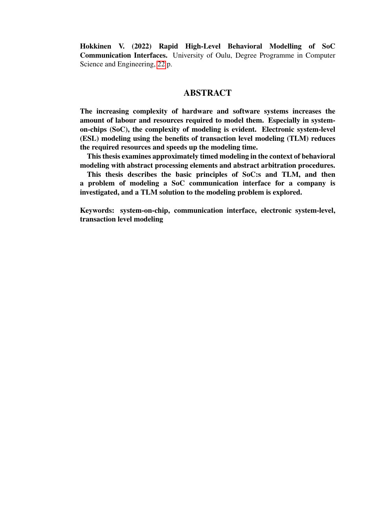<span id="page-2-0"></span>Hokkinen V. (2022) Rapid High-Level Behavioral Modelling of SoC Communication Interfaces. University of Oulu, Degree Programme in Computer Science and Engineering, [22](#page-21-0) p.

#### **ABSTRACT**

The increasing complexity of hardware and software systems increases the amount of labour and resources required to model them. Especially in systemon-chips (SoC), the complexity of modeling is evident. Electronic system-level (ESL) modeling using the benefits of transaction level modeling (TLM) reduces the required resources and speeds up the modeling time.

This thesis examines approximately timed modeling in the context of behavioral modeling with abstract processing elements and abstract arbitration procedures.

This thesis describes the basic principles of SoC:s and TLM, and then a problem of modeling a SoC communication interface for a company is investigated, and a TLM solution to the modeling problem is explored.

Keywords: system-on-chip, communication interface, electronic system-level, transaction level modeling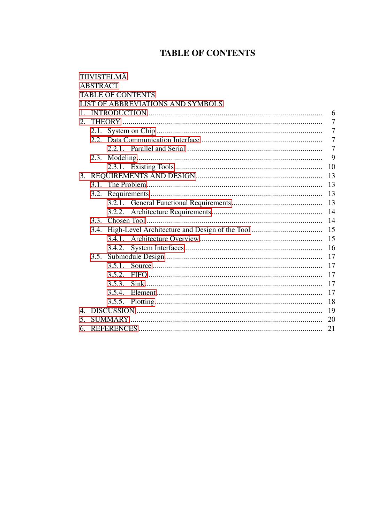# **TABLE OF CONTENTS**

<span id="page-3-0"></span>

|                |                 | <b>TIIVISTELMÄ</b> |                                   |                |  |  |
|----------------|-----------------|--------------------|-----------------------------------|----------------|--|--|
|                | <b>ABSTRACT</b> |                    |                                   |                |  |  |
|                |                 |                    | <b>TABLE OF CONTENTS</b>          |                |  |  |
|                |                 |                    | LIST OF ABBREVIATIONS AND SYMBOLS |                |  |  |
| 1.             | 6               |                    |                                   |                |  |  |
| 2.             |                 |                    |                                   |                |  |  |
|                |                 |                    |                                   |                |  |  |
|                |                 |                    |                                   | $\overline{7}$ |  |  |
|                |                 |                    |                                   | $\overline{7}$ |  |  |
|                |                 |                    |                                   | 9              |  |  |
|                |                 |                    |                                   | 10             |  |  |
|                | 13              |                    |                                   |                |  |  |
|                | 3.1.            | 13                 |                                   |                |  |  |
|                | 3.2.            |                    |                                   |                |  |  |
|                |                 |                    |                                   |                |  |  |
|                |                 | 3.2.2.             |                                   |                |  |  |
|                | 3.3.            | 14                 |                                   |                |  |  |
|                | 3.4.            | 15                 |                                   |                |  |  |
|                |                 |                    |                                   | 15             |  |  |
|                |                 | 3.4.2.             |                                   | 16             |  |  |
|                | 3.5.            |                    |                                   | 17             |  |  |
|                |                 |                    |                                   | 17             |  |  |
|                |                 | 3.5.2.             |                                   | 17             |  |  |
|                |                 | 3.5.3.             |                                   | 17             |  |  |
|                |                 | 3.5.4.             |                                   | 17             |  |  |
|                |                 | 3.5.5.             |                                   | 18             |  |  |
| $\mathbf{4}$ . | 19              |                    |                                   |                |  |  |
| 5.             | 20              |                    |                                   |                |  |  |
| 6.             | 21              |                    |                                   |                |  |  |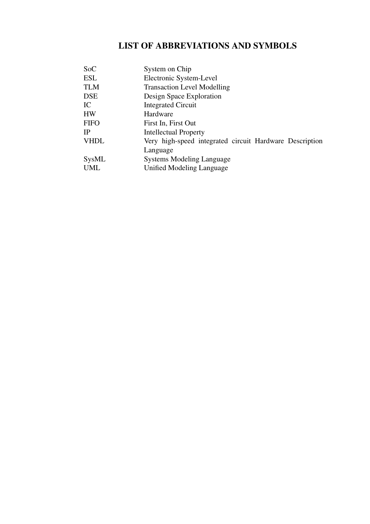# <span id="page-4-0"></span>LIST OF ABBREVIATIONS AND SYMBOLS

| <b>SoC</b>  | System on Chip                                          |
|-------------|---------------------------------------------------------|
| <b>ESL</b>  | Electronic System-Level                                 |
| <b>TLM</b>  | <b>Transaction Level Modelling</b>                      |
| <b>DSE</b>  | Design Space Exploration                                |
| IC          | <b>Integrated Circuit</b>                               |
| <b>HW</b>   | Hardware                                                |
| <b>FIFO</b> | First In, First Out                                     |
| <b>IP</b>   | <b>Intellectual Property</b>                            |
| <b>VHDL</b> | Very high-speed integrated circuit Hardware Description |
|             | Language                                                |
| SysML       | <b>Systems Modeling Language</b>                        |
| <b>UML</b>  | Unified Modeling Language                               |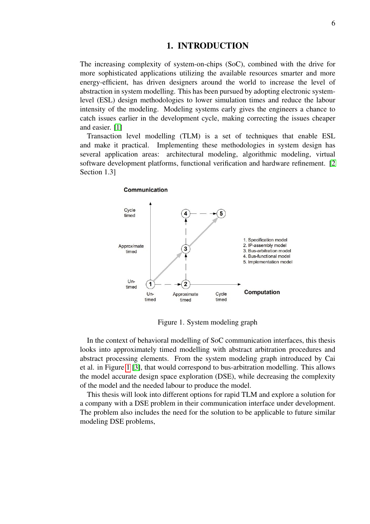#### 1. INTRODUCTION

<span id="page-5-0"></span>The increasing complexity of system-on-chips (SoC), combined with the drive for more sophisticated applications utilizing the available resources smarter and more energy-efficient, has driven designers around the world to increase the level of abstraction in system modelling. This has been pursued by adopting electronic systemlevel (ESL) design methodologies to lower simulation times and reduce the labour intensity of the modeling. Modeling systems early gives the engineers a chance to catch issues earlier in the development cycle, making correcting the issues cheaper and easier. [\[1\]](#page-20-1)

Transaction level modelling (TLM) is a set of techniques that enable ESL and make it practical. Implementing these methodologies in system design has several application areas: architectural modeling, algorithmic modeling, virtual software development platforms, functional verification and hardware refinement. [\[2](#page-20-2) Section 1.3]

#### Communication

<span id="page-5-1"></span>

Figure 1. System modeling graph

In the context of behavioral modelling of SoC communication interfaces, this thesis looks into approximately timed modelling with abstract arbitration procedures and abstract processing elements. From the system modeling graph introduced by Cai et al. in Figure [1](#page-5-1) [\[3\]](#page-20-3), that would correspond to bus-arbitration modelling. This allows the model accurate design space exploration (DSE), while decreasing the complexity of the model and the needed labour to produce the model.

This thesis will look into different options for rapid TLM and explore a solution for a company with a DSE problem in their communication interface under development. The problem also includes the need for the solution to be applicable to future similar modeling DSE problems,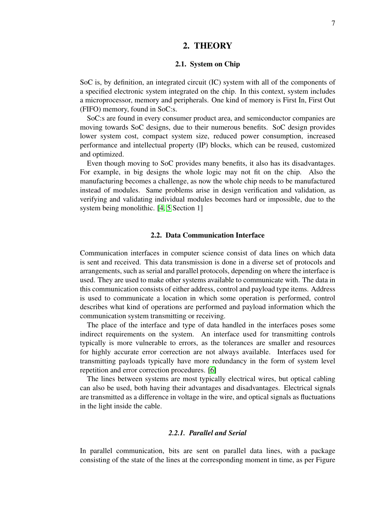#### 2. THEORY

#### 2.1. System on Chip

<span id="page-6-1"></span><span id="page-6-0"></span>SoC is, by definition, an integrated circuit (IC) system with all of the components of a specified electronic system integrated on the chip. In this context, system includes a microprocessor, memory and peripherals. One kind of memory is First In, First Out (FIFO) memory, found in SoC:s.

SoC:s are found in every consumer product area, and semiconductor companies are moving towards SoC designs, due to their numerous benefits. SoC design provides lower system cost, compact system size, reduced power consumption, increased performance and intellectual property (IP) blocks, which can be reused, customized and optimized.

Even though moving to SoC provides many benefits, it also has its disadvantages. For example, in big designs the whole logic may not fit on the chip. Also the manufacturing becomes a challenge, as now the whole chip needs to be manufactured instead of modules. Same problems arise in design verification and validation, as verifying and validating individual modules becomes hard or impossible, due to the system being monolithic. [\[4,](#page-20-4) [5](#page-20-5) Section 1]

#### 2.2. Data Communication Interface

<span id="page-6-2"></span>Communication interfaces in computer science consist of data lines on which data is sent and received. This data transmission is done in a diverse set of protocols and arrangements, such as serial and parallel protocols, depending on where the interface is used. They are used to make other systems available to communicate with. The data in this communication consists of either address, control and payload type items. Address is used to communicate a location in which some operation is performed, control describes what kind of operations are performed and payload information which the communication system transmitting or receiving.

The place of the interface and type of data handled in the interfaces poses some indirect requirements on the system. An interface used for transmitting controls typically is more vulnerable to errors, as the tolerances are smaller and resources for highly accurate error correction are not always available. Interfaces used for transmitting payloads typically have more redundancy in the form of system level repetition and error correction procedures. [\[6\]](#page-20-6)

The lines between systems are most typically electrical wires, but optical cabling can also be used, both having their advantages and disadvantages. Electrical signals are transmitted as a difference in voltage in the wire, and optical signals as fluctuations in the light inside the cable.

#### *2.2.1. Parallel and Serial*

<span id="page-6-3"></span>In parallel communication, bits are sent on parallel data lines, with a package consisting of the state of the lines at the corresponding moment in time, as per Figure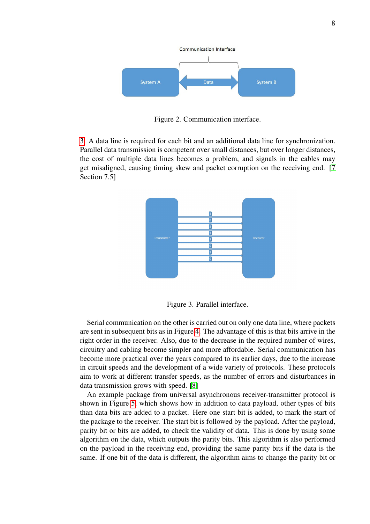

Figure 2. Communication interface.

<span id="page-7-0"></span>[3.](#page-7-0) A data line is required for each bit and an additional data line for synchronization. Parallel data transmission is competent over small distances, but over longer distances, the cost of multiple data lines becomes a problem, and signals in the cables may get misaligned, causing timing skew and packet corruption on the receiving end. [\[7](#page-20-7) Section 7.5]



Figure 3. Parallel interface.

Serial communication on the other is carried out on only one data line, where packets are sent in subsequent bits as in Figure [4.](#page-8-1) The advantage of this is that bits arrive in the right order in the receiver. Also, due to the decrease in the required number of wires, circuitry and cabling become simpler and more affordable. Serial communication has become more practical over the years compared to its earlier days, due to the increase in circuit speeds and the development of a wide variety of protocols. These protocols aim to work at different transfer speeds, as the number of errors and disturbances in data transmission grows with speed. [\[8\]](#page-20-8)

An example package from universal asynchronous receiver-transmitter protocol is shown in Figure [5,](#page-8-2) which shows how in addition to data payload, other types of bits than data bits are added to a packet. Here one start bit is added, to mark the start of the package to the receiver. The start bit is followed by the payload. After the payload, parity bit or bits are added, to check the validity of data. This is done by using some algorithm on the data, which outputs the parity bits. This algorithm is also performed on the payload in the receiving end, providing the same parity bits if the data is the same. If one bit of the data is different, the algorithm aims to change the parity bit or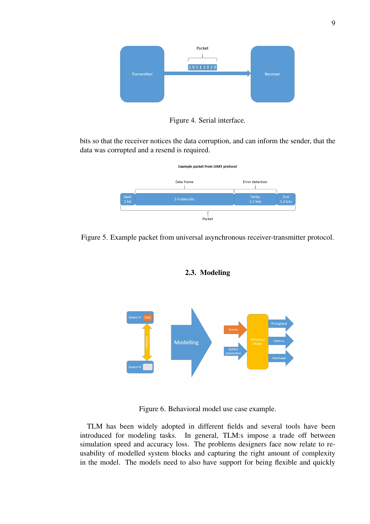<span id="page-8-1"></span>

Figure 4. Serial interface.

<span id="page-8-2"></span>bits so that the receiver notices the data corruption, and can inform the sender, that the data was corrupted and a resend is required.



<span id="page-8-0"></span>Figure 5. Example packet from universal asynchronous receiver-transmitter protocol.



2.3. Modeling

Figure 6. Behavioral model use case example.

TLM has been widely adopted in different fields and several tools have been introduced for modeling tasks. In general, TLM:s impose a trade off between simulation speed and accuracy loss. The problems designers face now relate to reusability of modelled system blocks and capturing the right amount of complexity in the model. The models need to also have support for being flexible and quickly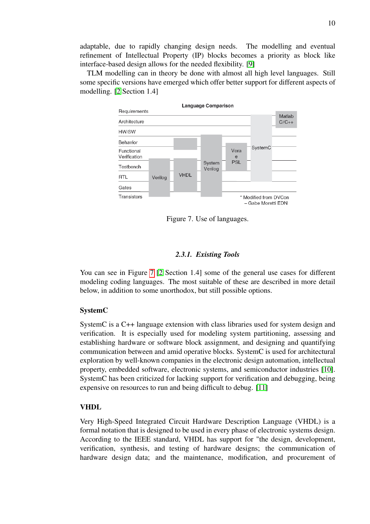adaptable, due to rapidly changing design needs. The modelling and eventual refinement of Intellectual Property (IP) blocks becomes a priority as block like interface-based design allows for the needed flexibility. [\[9\]](#page-20-9)

TLM modelling can in theory be done with almost all high level languages. Still some specific versions have emerged which offer better support for different aspects of modelling. [\[2](#page-20-2) Section 1.4]

<span id="page-9-1"></span>

Figure 7. Use of languages.

#### *2.3.1. Existing Tools*

<span id="page-9-0"></span>You can see in Figure [7](#page-9-1) [\[2](#page-20-2) Section 1.4] some of the general use cases for different modeling coding languages. The most suitable of these are described in more detail below, in addition to some unorthodox, but still possible options.

#### SystemC

SystemC is a C++ language extension with class libraries used for system design and verification. It is especially used for modeling system partitioning, assessing and establishing hardware or software block assignment, and designing and quantifying communication between and amid operative blocks. SystemC is used for architectural exploration by well-known companies in the electronic design automation, intellectual property, embedded software, electronic systems, and semiconductor industries [\[10\]](#page-20-10). SystemC has been criticized for lacking support for verification and debugging, being expensive on resources to run and being difficult to debug. [\[11\]](#page-20-11)

#### VHDL

Very High-Speed Integrated Circuit Hardware Description Language (VHDL) is a formal notation that is designed to be used in every phase of electronic systems design. According to the IEEE standard, VHDL has support for "the design, development, verification, synthesis, and testing of hardware designs; the communication of hardware design data; and the maintenance, modification, and procurement of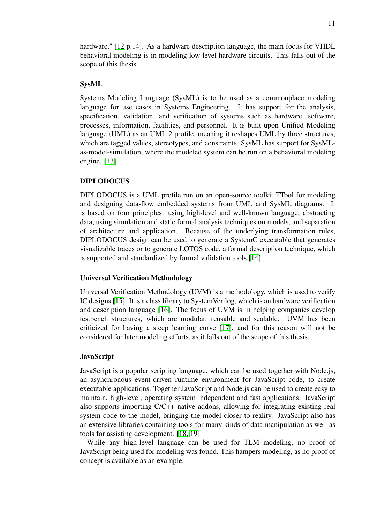hardware." [\[12](#page-20-12) p.14]. As a hardware description language, the main focus for VHDL behavioral modeling is in modeling low level hardware circuits. This falls out of the scope of this thesis.

#### SysML

Systems Modeling Language (SysML) is to be used as a commonplace modeling language for use cases in Systems Engineering. It has support for the analysis, specification, validation, and verification of systems such as hardware, software, processes, information, facilities, and personnel. It is built upon Unified Modeling language (UML) as an UML 2 profile, meaning it reshapes UML by three structures, which are tagged values, stereotypes, and constraints. SysML has support for SysMLas-model-simulation, where the modeled system can be run on a behavioral modeling engine. [\[13\]](#page-20-13)

#### DIPLODOCUS

DIPLODOCUS is a UML profile run on an open-source toolkit TTool for modeling and designing data-flow embedded systems from UML and SysML diagrams. It is based on four principles: using high-level and well-known language, abstracting data, using simulation and static formal analysis techniques on models, and separation of architecture and application. Because of the underlying transformation rules, DIPLODOCUS design can be used to generate a SystemC executable that generates visualizable traces or to generate LOTOS code, a formal description technique, which is supported and standardized by formal validation tools.[\[14\]](#page-20-14)

#### Universal Verification Methodology

Universal Verification Methodology (UVM) is a methodology, which is used to verify IC designs [\[15\]](#page-20-15). It is a class library to SystemVerilog, which is an hardware verification and description language [\[16\]](#page-20-16). The focus of UVM is in helping companies develop testbench structures, which are modular, reusable and scalable. UVM has been criticized for having a steep learning curve [\[17\]](#page-21-1), and for this reason will not be considered for later modeling efforts, as it falls out of the scope of this thesis.

#### JavaScript

JavaScript is a popular scripting language, which can be used together with Node.js, an asynchronous event-driven runtime environment for JavaScript code, to create executable applications. Together JavaScript and Node.js can be used to create easy to maintain, high-level, operating system independent and fast applications. JavaScript also supports importing C/C++ native addons, allowing for integrating existing real system code to the model, bringing the model closer to reality. JavaScript also has an extensive libraries containing tools for many kinds of data manipulation as well as tools for assisting development. [\[18,](#page-21-2) [19\]](#page-21-3)

While any high-level language can be used for TLM modeling, no proof of JavaScript being used for modeling was found. This hampers modeling, as no proof of concept is available as an example.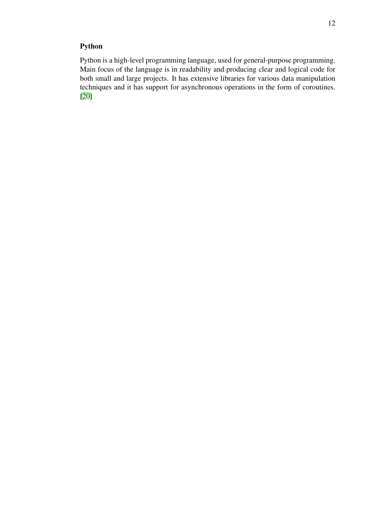## Python

Python is a high-level programming language, used for general-purpose programming. Main focus of the language is in readability and producing clear and logical code for both small and large projects. It has extensive libraries for various data manipulation techniques and it has support for asynchronous operations in the form of coroutines. [\[20\]](#page-21-4)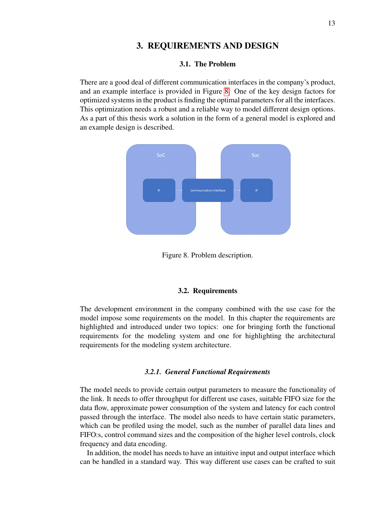#### 3. REQUIREMENTS AND DESIGN

#### 3.1. The Problem

<span id="page-12-1"></span><span id="page-12-0"></span>There are a good deal of different communication interfaces in the company's product, and an example interface is provided in Figure [8.](#page-12-4) One of the key design factors for optimized systems in the product is finding the optimal parameters for all the interfaces. This optimization needs a robust and a reliable way to model different design options. As a part of this thesis work a solution in the form of a general model is explored and an example design is described.

<span id="page-12-4"></span>

Figure 8. Problem description.

#### 3.2. Requirements

<span id="page-12-2"></span>The development environment in the company combined with the use case for the model impose some requirements on the model. In this chapter the requirements are highlighted and introduced under two topics: one for bringing forth the functional requirements for the modeling system and one for highlighting the architectural requirements for the modeling system architecture.

#### *3.2.1. General Functional Requirements*

<span id="page-12-3"></span>The model needs to provide certain output parameters to measure the functionality of the link. It needs to offer throughput for different use cases, suitable FIFO size for the data flow, approximate power consumption of the system and latency for each control passed through the interface. The model also needs to have certain static parameters, which can be profiled using the model, such as the number of parallel data lines and FIFO:s, control command sizes and the composition of the higher level controls, clock frequency and data encoding.

In addition, the model has needs to have an intuitive input and output interface which can be handled in a standard way. This way different use cases can be crafted to suit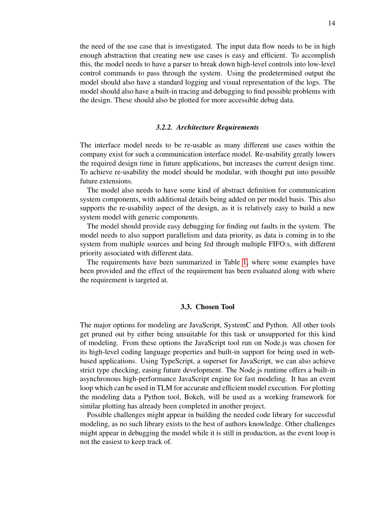the need of the use case that is investigated. The input data flow needs to be in high enough abstraction that creating new use cases is easy and efficient. To accomplish this, the model needs to have a parser to break down high-level controls into low-level control commands to pass through the system. Using the predetermined output the model should also have a standard logging and visual representation of the logs. The model should also have a built-in tracing and debugging to find possible problems with the design. These should also be plotted for more accessible debug data.

#### *3.2.2. Architecture Requirements*

<span id="page-13-0"></span>The interface model needs to be re-usable as many different use cases within the company exist for such a communication interface model. Re-usability greatly lowers the required design time in future applications, but increases the current design time. To achieve re-usability the model should be modular, with thought put into possible future extensions.

The model also needs to have some kind of abstract definition for communication system components, with additional details being added on per model basis. This also supports the re-usability aspect of the design, as it is relatively easy to build a new system model with generic components.

The model should provide easy debugging for finding out faults in the system. The model needs to also support parallelism and data priority, as data is coming in to the system from multiple sources and being fed through multiple FIFO:s, with different priority associated with different data.

The requirements have been summarized in Table [1,](#page-14-2) where some examples have been provided and the effect of the requirement has been evaluated along with where the requirement is targeted at.

#### 3.3. Chosen Tool

<span id="page-13-1"></span>The major options for modeling are JavaScript, SystemC and Python. All other tools get pruned out by either being unsuitable for this task or unsupported for this kind of modeling. From these options the JavaScript tool run on Node.js was chosen for its high-level coding language properties and built-in support for being used in webbased applications. Using TypeScript, a superset for JavaScript, we can also achieve strict type checking, easing future development. The Node.js runtime offers a built-in asynchronous high-performance JavaScript engine for fast modeling. It has an event loop which can be used in TLM for accurate and efficient model execution. For plotting the modeling data a Python tool, Bokeh, will be used as a working framework for similar plotting has already been completed in another project.

Possible challenges might appear in building the needed code library for successful modeling, as no such library exists to the best of authors knowledge. Other challenges might appear in debugging the model while it is still in production, as the event loop is not the easiest to keep track of.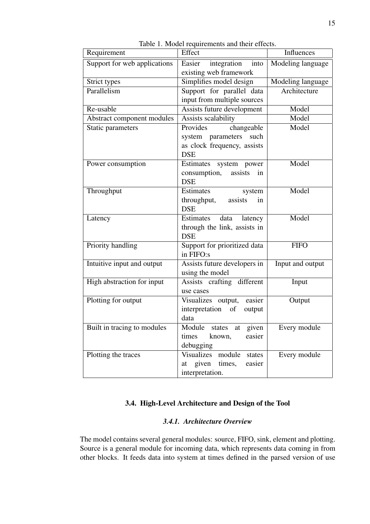<span id="page-14-2"></span>

| Requirement                  | Effect                                                                                           | Influences        |
|------------------------------|--------------------------------------------------------------------------------------------------|-------------------|
| Support for web applications | Easier<br>integration<br>into<br>existing web framework                                          | Modeling language |
| Strict types                 | Simplifies model design                                                                          | Modeling language |
| Parallelism                  | Support for parallel data<br>input from multiple sources                                         | Architecture      |
| Re-usable                    | Assists future development                                                                       | Model             |
| Abstract component modules   | Assists scalability                                                                              | Model             |
| Static parameters            | changeable<br>Provides<br>system parameters<br>such<br>as clock frequency, assists<br><b>DSE</b> | Model             |
| Power consumption            | Estimates system power<br>consumption,<br>assists<br>in<br><b>DSE</b>                            | Model             |
| Throughput                   | Estimates<br>system<br>throughput,<br>assists<br>in<br><b>DSE</b>                                | Model             |
| Latency                      | Estimates<br>data latency<br>through the link, assists in<br><b>DSE</b>                          | Model             |
| Priority handling            | Support for prioritized data<br>in FIFO:s                                                        | <b>FIFO</b>       |
| Intuitive input and output   | Assists future developers in<br>using the model                                                  | Input and output  |
| High abstraction for input   | Assists crafting different<br>use cases                                                          | Input             |
| Plotting for output          | Visualizes output, easier<br>interpretation of<br>output<br>data                                 | Output            |
| Built in tracing to modules  | Module states at given<br>times<br>known,<br>easier<br>debugging                                 | Every module      |
| Plotting the traces          | Visualizes module<br>states<br>at given times,<br>easier<br>interpretation.                      | Every module      |

Table 1. Model requirements and their effects.

### 3.4. High-Level Architecture and Design of the Tool

#### *3.4.1. Architecture Overview*

<span id="page-14-1"></span><span id="page-14-0"></span>The model contains several general modules: source, FIFO, sink, element and plotting. Source is a general module for incoming data, which represents data coming in from other blocks. It feeds data into system at times defined in the parsed version of use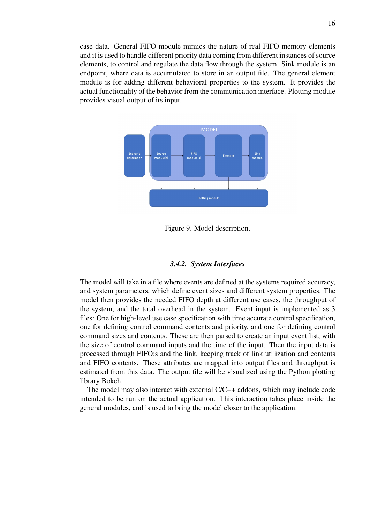case data. General FIFO module mimics the nature of real FIFO memory elements and it is used to handle different priority data coming from different instances of source elements, to control and regulate the data flow through the system. Sink module is an endpoint, where data is accumulated to store in an output file. The general element module is for adding different behavioral properties to the system. It provides the actual functionality of the behavior from the communication interface. Plotting module provides visual output of its input.



Figure 9. Model description.

#### *3.4.2. System Interfaces*

<span id="page-15-0"></span>The model will take in a file where events are defined at the systems required accuracy, and system parameters, which define event sizes and different system properties. The model then provides the needed FIFO depth at different use cases, the throughput of the system, and the total overhead in the system. Event input is implemented as 3 files: One for high-level use case specification with time accurate control specification, one for defining control command contents and priority, and one for defining control command sizes and contents. These are then parsed to create an input event list, with the size of control command inputs and the time of the input. Then the input data is processed through FIFO:s and the link, keeping track of link utilization and contents and FIFO contents. These attributes are mapped into output files and throughput is estimated from this data. The output file will be visualized using the Python plotting library Bokeh.

The model may also interact with external C/C++ addons, which may include code intended to be run on the actual application. This interaction takes place inside the general modules, and is used to bring the model closer to the application.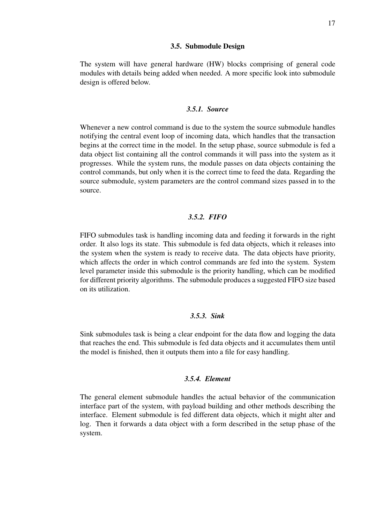#### 3.5. Submodule Design

<span id="page-16-0"></span>The system will have general hardware (HW) blocks comprising of general code modules with details being added when needed. A more specific look into submodule design is offered below.

#### *3.5.1. Source*

<span id="page-16-1"></span>Whenever a new control command is due to the system the source submodule handles notifying the central event loop of incoming data, which handles that the transaction begins at the correct time in the model. In the setup phase, source submodule is fed a data object list containing all the control commands it will pass into the system as it progresses. While the system runs, the module passes on data objects containing the control commands, but only when it is the correct time to feed the data. Regarding the source submodule, system parameters are the control command sizes passed in to the source.

#### *3.5.2. FIFO*

<span id="page-16-2"></span>FIFO submodules task is handling incoming data and feeding it forwards in the right order. It also logs its state. This submodule is fed data objects, which it releases into the system when the system is ready to receive data. The data objects have priority, which affects the order in which control commands are fed into the system. System level parameter inside this submodule is the priority handling, which can be modified for different priority algorithms. The submodule produces a suggested FIFO size based on its utilization.

#### *3.5.3. Sink*

<span id="page-16-3"></span>Sink submodules task is being a clear endpoint for the data flow and logging the data that reaches the end. This submodule is fed data objects and it accumulates them until the model is finished, then it outputs them into a file for easy handling.

#### *3.5.4. Element*

<span id="page-16-4"></span>The general element submodule handles the actual behavior of the communication interface part of the system, with payload building and other methods describing the interface. Element submodule is fed different data objects, which it might alter and log. Then it forwards a data object with a form described in the setup phase of the system.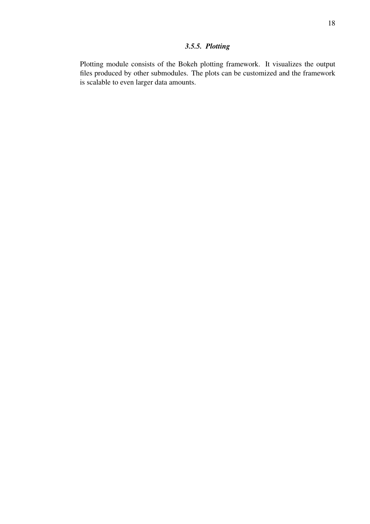## *3.5.5. Plotting*

<span id="page-17-0"></span>Plotting module consists of the Bokeh plotting framework. It visualizes the output files produced by other submodules. The plots can be customized and the framework is scalable to even larger data amounts.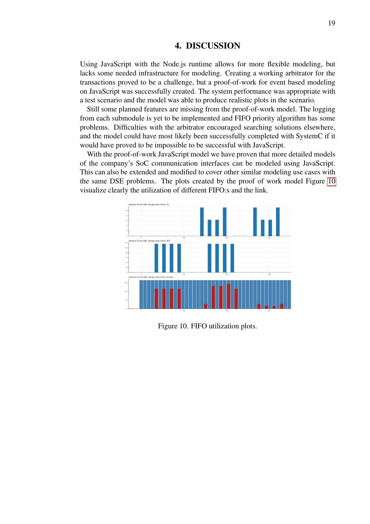#### 4. DISCUSSION

<span id="page-18-0"></span>Using JavaScript with the Node.js runtime allows for more flexible modeling, but lacks some needed infrastructure for modeling. Creating a working arbitrator for the transactions proved to be a challenge, but a proof-of-work for event based modeling on JavaScript was successfully created. The system performance was appropriate with a test scenario and the model was able to produce realistic plots in the scenario.

Still some planned features are missing from the proof-of-work model. The logging from each submodule is yet to be implemented and FIFO priority algorithm has some problems. Difficulties with the arbitrator encouraged searching solutions elsewhere, and the model could have most likely been successfully completed with SystemC if it would have proved to be impossible to be successful with JavaScript.

With the proof-of-work JavaScript model we have proven that more detailed models of the company's SoC communication interfaces can be modeled using JavaScript. This can also be extended and modified to cover other similar modeling use cases with the same DSE problems. The plots created by the proof of work model Figure [10](#page-18-1) visualize clearly the utilization of different FIFO:s and the link.

<span id="page-18-1"></span>

Figure 10. FIFO utilization plots.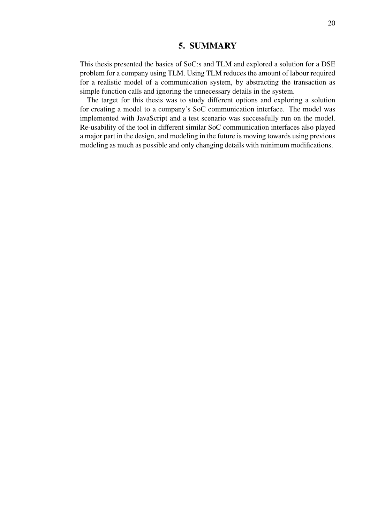#### 5. SUMMARY

<span id="page-19-0"></span>This thesis presented the basics of SoC:s and TLM and explored a solution for a DSE problem for a company using TLM. Using TLM reduces the amount of labour required for a realistic model of a communication system, by abstracting the transaction as simple function calls and ignoring the unnecessary details in the system.

The target for this thesis was to study different options and exploring a solution for creating a model to a company's SoC communication interface. The model was implemented with JavaScript and a test scenario was successfully run on the model. Re-usability of the tool in different similar SoC communication interfaces also played a major part in the design, and modeling in the future is moving towards using previous modeling as much as possible and only changing details with minimum modifications.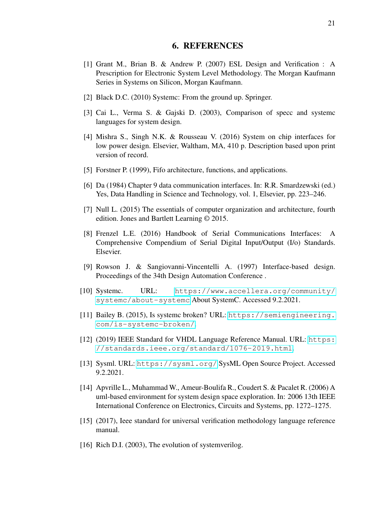#### 6. REFERENCES

- <span id="page-20-1"></span><span id="page-20-0"></span>[1] Grant M., Brian B. & Andrew P. (2007) ESL Design and Verification : A Prescription for Electronic System Level Methodology. The Morgan Kaufmann Series in Systems on Silicon, Morgan Kaufmann.
- <span id="page-20-2"></span>[2] Black D.C. (2010) Systemc: From the ground up. Springer.
- <span id="page-20-3"></span>[3] Cai L., Verma S. & Gajski D. (2003), Comparison of specc and systemc languages for system design.
- <span id="page-20-4"></span>[4] Mishra S., Singh N.K. & Rousseau V. (2016) System on chip interfaces for low power design. Elsevier, Waltham, MA, 410 p. Description based upon print version of record.
- <span id="page-20-5"></span>[5] Forstner P. (1999), Fifo architecture, functions, and applications.
- <span id="page-20-6"></span>[6] Da (1984) Chapter 9 data communication interfaces. In: R.R. Smardzewski (ed.) Yes, Data Handling in Science and Technology, vol. 1, Elsevier, pp. 223–246.
- <span id="page-20-7"></span>[7] Null L. (2015) The essentials of computer organization and architecture, fourth edition. Jones and Bartlett Learning © 2015.
- <span id="page-20-8"></span>[8] Frenzel L.E. (2016) Handbook of Serial Communications Interfaces: A Comprehensive Compendium of Serial Digital Input/Output (I/o) Standards. Elsevier.
- <span id="page-20-9"></span>[9] Rowson J. & Sangiovanni-Vincentelli A. (1997) Interface-based design. Proceedings of the 34th Design Automation Conference .
- <span id="page-20-10"></span>[10] Systemc. URL: [https://www.accellera.org/community/](https://www.accellera.org/community/systemc/about-systemc) [systemc/about-systemc](https://www.accellera.org/community/systemc/about-systemc) About SystemC. Accessed 9.2.2021.
- <span id="page-20-11"></span>[11] Bailey B. (2015), Is systemc broken? URL: [https://semiengineering.](https://semiengineering.com/is-systemc-broken/) [com/is-systemc-broken/](https://semiengineering.com/is-systemc-broken/).
- <span id="page-20-12"></span>[12] (2019) IEEE Standard for VHDL Language Reference Manual. URL: [https:](https://standards.ieee.org/standard/1076-2019.html) [//standards.ieee.org/standard/1076-2019.html](https://standards.ieee.org/standard/1076-2019.html).
- <span id="page-20-13"></span>[13] Sysml. URL: <https://sysml.org/> SysML Open Source Project. Accessed 9.2.2021.
- <span id="page-20-14"></span>[14] Apvrille L., Muhammad W., Ameur-Boulifa R., Coudert S. & Pacalet R. (2006) A uml-based environment for system design space exploration. In: 2006 13th IEEE International Conference on Electronics, Circuits and Systems, pp. 1272–1275.
- <span id="page-20-15"></span>[15] (2017), Ieee standard for universal verification methodology language reference manual.
- <span id="page-20-16"></span>[16] Rich D.I. (2003), The evolution of systemverilog.